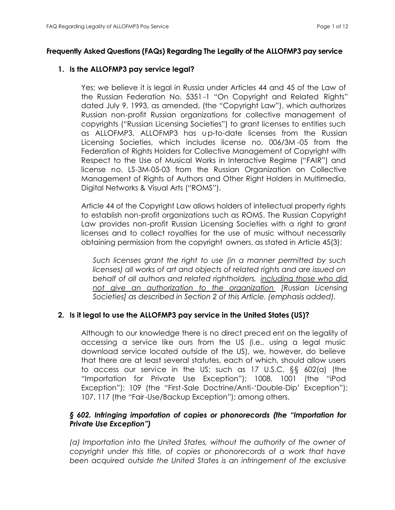## **Frequently Asked Questions (FAQs) Regarding The Legality of the ALLOFMP3 pay service**

## **1. Is the ALLOFMP3 pay service legal?**

Yes; we believe it is legal in Russia under Articles 44 and 45 of the Law of the Russian Federation No. 5351 -1 "On Copyright and Related Rights" dated July 9, 1993, as amended, (the "Copyright Law"), which authorizes Russian non-profit Russian organizations for collective management of copyrights ("Russian Licensing Societies") to grant licenses to entities such as ALLOFMP3. ALLOFMP3 has up-to-date licenses from the Russian Licensing Societies, which includes license no. 006/3M -05 from the Federation of Rights Holders for Collective Management of Copyright with Respect to the Use of Musical Works in Interactive Regime ("FAIR") and license no. LS-3M-05-03 from the Russian Organization on Collective Management of Rights of Authors and Other Right Holders in Multimedia, Digital Networks & Visual Arts ("ROMS").

Article 44 of the Copyright Law allows holders of intellectual property rights to establish non-profit organizations such as ROMS. The Russian Copyright Law provides non-profit Russian Licensing Societies with a right to grant licenses and to collect royalties for the use of music without necessarily obtaining permission from the copyright owners, as stated in Article 45(3):

*Such licenses grant the right to use (in a manner permitted by such licenses) all works of art and objects of related rights and are issued on behalf of all authors and related rightholders, including those who did not give an authorization to the organization [Russian Licensing Societies] as described in Section 2 of this Article. (emphasis added).*

## **2. Is it legal to use the ALLOFMP3 pay service in the United States (US)?**

Although to our knowledge there is no direct preced ent on the legality of accessing a service like ours from the US (i.e., using a legal music download service located outside of the US), we, however, do believe that there are at least several statutes, each of which, should allow users to access our service in the US; such as 17 U.S.C. §§ 602(a) (the "Importation for Private Use Exception"); 1008, 1001 (the "iPod Exception"); 109 (the "First-Sale Doctrine/Anti-'Double-Dip' Exception"); 107, 117 (the "Fair-Use/Backup Exception"); among others.

# *§ 602. Infringing importation of copies or phonorecords (the "Importation for Private Use Exception")*

*(a) Importation into the United States, without the authority of the owner of copyright under this title, of copies or phonorecords of a work that have been acquired outside the United States is an infringement of the exclusive*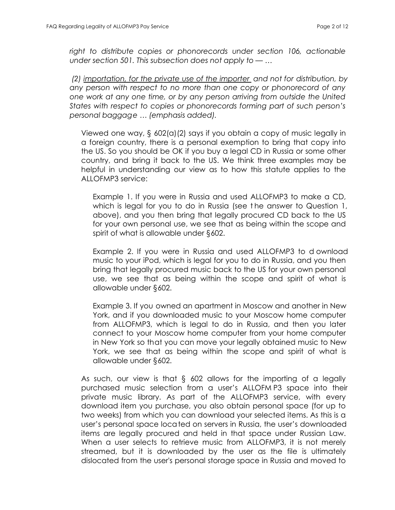*right to distribute copies or phonorecords under section 106, actionable under section 501. This subsection does not apply to — …*

 *(2) importation, for the private use of the importer and not for distribution, by any person with respect to no more than one copy or phonorecord of any one work at any one time, or by any person arriving from outside the United States with respect to copies or phonorecords forming part of such person's personal baggage … (emphasis added).*

Viewed one way, § 602(a)(2) says if you obtain a copy of music legally in a foreign country, there is a personal exemption to bring that copy into the US. So you should be OK if you buy a legal CD in Russia or some other country, and bring it back to the US. We think three examples may be helpful in understanding our view as to how this statute applies to the ALLOFMP3 service:

Example 1. If you were in Russia and used ALLOFMP3 to make a CD, which is legal for you to do in Russia (see t he answer to Question 1, above), and you then bring that legally procured CD back to the US for your own personal use, we see that as being within the scope and spirit of what is allowable under §602.

Example 2. If you were in Russia and used ALLOFMP3 to d ownload music to your iPod, which is legal for you to do in Russia, and you then bring that legally procured music back to the US for your own personal use, we see that as being within the scope and spirit of what is allowable under §602.

Example 3. If you owned an apartment in Moscow and another in New York, and if you downloaded music to your Moscow home computer from ALLOFMP3, which is legal to do in Russia, and then you later connect to your Moscow home computer from your home computer in New York so that you can move your legally obtained music to New York, we see that as being within the scope and spirit of what is allowable under §602.

As such, our view is that § 602 allows for the importing of a legally purchased music selection from a user's ALLOFM P3 space into their private music library. As part of the ALLOFMP3 service, with every download item you purchase, you also obtain personal space (for up to two weeks) from which you can download your selected items. As this is a user's personal space located on servers in Russia, the user's downloaded items are legally procured and held in that space under Russian Law. When a user selects to retrieve music from ALLOFMP3, it is not merely streamed, but it is downloaded by the user as the file is ultimately dislocated from the user's personal storage space in Russia and moved to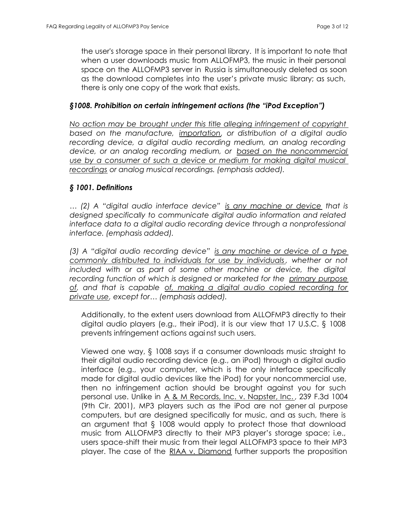the user's storage space in their personal library. It is important to note that when a user downloads music from ALLOFMP3, the music in their personal space on the ALLOFMP3 server in Russia is simultaneously deleted as soon as the download completes into the user's private music library; as such, there is only one copy of the work that exists.

## *§1008. Prohibition on certain infringement actions (the "iPod Exception")*

*No action may be brought under this title alleging infringement of copyright based on the manufacture, importation, or distribution of a digital audio recording device, a digital audio recording medium, an analog recording device, or an analog recording medium, or based on the noncommercial use by a consumer of such a device or medium for making digital musical recordings or analog musical recordings. (emphasis added).*

## *§ 1001. Definitions*

*… (2) A "digital audio interface device" is any machine or device that is designed specifically to communicate digital audio information and related interface data to a digital audio recording device through a nonprofessional interface. (emphasis added).*

*(3) A "digital audio recording device" is any machine or device of a type commonly distributed to individuals for use by individuals , whether or not included with or as part of some other machine or device, the digital recording function of which is designed or marketed for the primary purpose of, and that is capable of, making a digital audio copied recording for private use, except for… (emphasis added).*

Additionally, to the extent users download from ALLOFMP3 directly to their digital audio players (e.g., their iPod), it is our view that 17 U.S.C. § 1008 prevents infringement actions agai nst such users.

Viewed one way, § 1008 says if a consumer downloads music straight to their digital audio recording device (e.g., an iPod) through a digital audio interface (e.g., your computer, which is the only interface specifically made for digital audio devices like the iPod) for your noncommercial use, then no infringement action should be brought against you for such personal use. Unlike in A & M Records, Inc. v. Napster, Inc. , 239 F.3d 1004 (9th Cir. 2001), MP3 players such as the iPod are not gener al purpose computers, but are designed specifically for music, and as such, there is an argument that § 1008 would apply to protect those that download music from ALLOFMP3 directly to their MP3 player's storage space; i.e., users space-shift their music from their legal ALLOFMP3 space to their MP3 player. The case of the RIAA v. Diamond further supports the proposition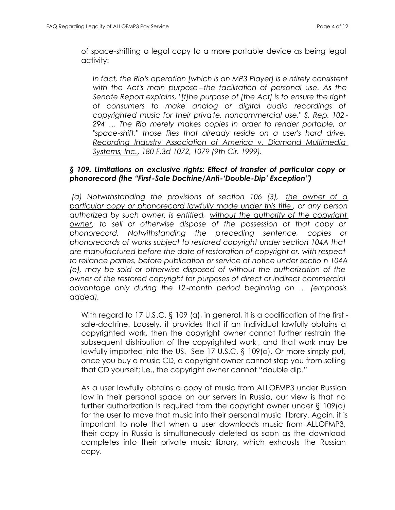of space-shifting a legal copy to a more portable device as being legal activity:

*In fact, the Rio's operation [which is an MP3 Player] is e ntirely consistent with the Act's main purpose--the facilitation of personal use. As the Senate Report explains, "[t]he purpose of [the Act] is to ensure the right of consumers to make analog or digital audio recordings of copyrighted music for their private, noncommercial use." S. Rep. 102 - 294 … The Rio merely makes copies in order to render portable, or "space-shift," those files that already reside on a user's hard drive. Recording Industry Association of America v. Diamond Multimedia Systems, Inc., 180 F.3d 1072, 1079 (9th Cir. 1999).*

## *§ 109. Limitations on exclusive rights: Effect of transfer of particular copy or phonorecord (the "First -Sale Doctrine/Anti-'Double-Dip' Exception")*

 *(a) Notwithstanding the provisions of section 106 (3), the owner of a particular copy or phonorecord lawfully made under this title , or any person authorized by such owner, is entitled, without the authority of the copyright owner, to sell or otherwise dispose of the possession of that copy or phonorecord. Notwithstanding the p receding sentence, copies or phonorecords of works subject to restored copyright under section 104A that are manufactured before the date of restoration of copyright or, with respect to reliance parties, before publication or service of notice under sectio n 104A (e), may be sold or otherwise disposed of without the authorization of the owner of the restored copyright for purposes of direct or indirect commercial advantage only during the 12 -month period beginning on … (emphasis added).*

With regard to 17 U.S.C. § 109 (a), in general, it is a codification of the first sale-doctrine. Loosely, it provides that if an individual lawfully obtains a copyrighted work, then the copyright owner cannot further restrain the subsequent distribution of the copyrighted work , and that work may be lawfully imported into the US. See 17 U.S.C. § 109(a). Or more simply put, once you buy a music CD, a copyright owner cannot stop you from selling that CD yourself; i.e., the copyright owner cannot "double dip."

As a user lawfully obtains a copy of music from ALLOFMP3 under Russian law in their personal space on our servers in Russia, our view is that no further authorization is required from the copyright owner under § 109(a) for the user to move that music into their personal music library. Again, it is important to note that when a user downloads music from ALLOFMP3, their copy in Russia is simultaneously deleted as soon as the download completes into their private music library, which exhausts the Russian copy.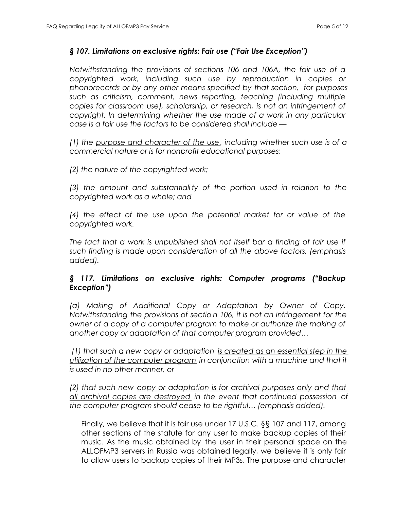### *§ 107. Limitations on exclusive rights: Fair use ("Fair Use Exception")*

*Notwithstanding the provisions of sections 106 and 106A, the fair use of a copyrighted work, including such use by reproduction in copies or phonorecords or by any other means specified by that section, for purposes such as criticism, comment, news reporting, teaching (including multiple copies for classroom use), scholarship, or research, is not an infringement of copyright. In determining whether the use made of a work in any particular case is a fair use the factors to be considered shall include —*

*(1) the purpose and character of the use, including whether such use is of a commercial nature or is for nonprofit educational purposes;*

*(2) the nature of the copyrighted work;*

*(3) the amount and substantiality of the portion used in relation to the copyrighted work as a whole; and*

*(4) the effect of the use upon the potential market for or value of the copyrighted work.*

*The fact that a work is unpublished shall not itself bar a finding of fair use if such finding is made upon consideration of all the above factors. (emphasis added).*

# *§ 117. Limitations on exclusive rights: Computer programs ("Backup Exception")*

*(a) Making of Additional Copy or Adaptation by Owner of Copy. Notwithstanding the provisions of sectio n 106, it is not an infringement for the owner of a copy of a computer program to make or authorize the making of another copy or adaptation of that computer program provided…*

 *(1) that such a new copy or adaptation is created as an essential step in the utilization of the computer program in conjunction with a machine and that it is used in no other manner, or*

*(2) that such new copy or adaptation is for archival purposes only and that all archival copies are destroyed in the event that continued possession of the computer program should cease to be rightful… (emphasis added).*

Finally, we believe that it is fair use under 17 U.S.C. §§ 107 and 117, among other sections of the statute for any user to make backup copies of their music. As the music obtained by the user in their personal space on the ALLOFMP3 servers in Russia was obtained legally, we believe it is only fair to allow users to backup copies of their MP3s. The purpose and character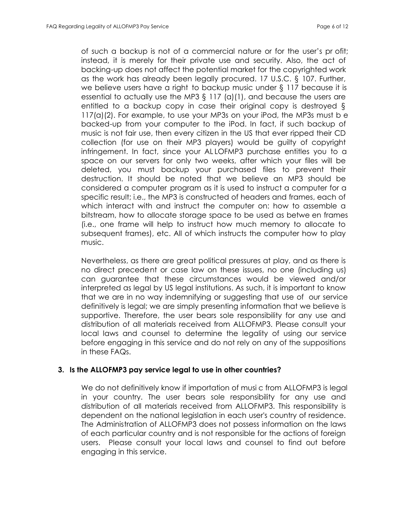of such a backup is not of a commercial nature or for the user's pr ofit; instead, it is merely for their private use and security. Also, the act of backing-up does not affect the potential market for the copyrighted work as the work has already been legally procured. 17 U.S.C. § 107. Further, we believe users have a right to backup music under § 117 because it is essential to actually use the MP3 § 117 (a)(1), and because the users are entitled to a backup copy in case their original copy is destroyed § 117(a)(2). For example, to use your MP3s on your iPod, the MP3s must b e backed-up from your computer to the iPod. In fact, if such backup of music is not fair use, then every citizen in the US that ever ripped their CD collection (for use on their MP3 players) would be guilty of copyright infringement. In fact, since your AL LOFMP3 purchase entitles you to a space on our servers for only two weeks, after which your files will be deleted, you must backup your purchased files to prevent their destruction. It should be noted that we believe an MP3 should be considered a computer program as it is used to instruct a computer for a specific result; i.e., the MP3 is constructed of headers and frames, each of which interact with and instruct the computer on: how to assemble a bitstream, how to allocate storage space to be used as betwe en frames (i.e., one frame will help to instruct how much memory to allocate to subsequent frames), etc. All of which instructs the computer how to play music.

Nevertheless, as there are great political pressures at play, and as there is no direct precedent or case law on these issues, no one (including us) can guarantee that these circumstances would be viewed and/or interpreted as legal by US legal institutions. As such, it is important to know that we are in no way indemnifying or suggesting that use of our service definitively is legal; we are simply presenting information that we believe is supportive. Therefore, the user bears sole responsibility for any use and distribution of all materials received from ALLOFMP3. Please consult your local laws and counsel to determine the legality of using our service before engaging in this service and do not rely on any of the suppositions in these FAQs.

#### **3. Is the ALLOFMP3 pay service legal to use in other countries?**

We do not definitively know if importation of musi c from ALLOFMP3 is legal in your country. The user bears sole responsibility for any use and distribution of all materials received from ALLOFMP3. This responsibility is dependent on the national legislation in each user's country of residence. The Administration of ALLOFMP3 does not possess information on the laws of each particular country and is not responsible for the actions of foreign users. Please consult your local laws and counsel to find out before engaging in this service.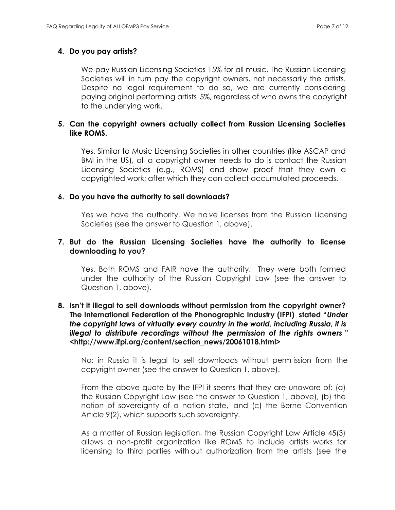### **4. Do you pay artists?**

We pay Russian Licensing Societies 15% for all music. The Russian Licensing Societies will in turn pay the copyright owners, not necessarily the artists. Despite no legal requirement to do so, we are currently considering paying original performing artists 5%, regardless of who owns the copyright to the underlying work.

## **5. Can the copyright owners actually collect from Russian Licensing Societies like ROMS.**

Yes. Similar to Music Licensing Societies in other countries (like ASCAP and BMI in the US), all a copyright owner needs to do is contact the Russian Licensing Societies (e.g., ROMS) and show proof that they own a copyrighted work; after which they can collect accumulated proceeds.

### **6. Do you have the authority to sell downloads?**

Yes we have the authority. We have licenses from the Russian Licensing Societies (see the answer to Question 1, above).

### **7. But do the Russian Licensing Societies have the authority to license downloading to you?**

Yes. Both ROMS and FAIR have the authority. They were both formed under the authority of the Russian Copyright Law (see the answer to Question 1, above).

### **8. Isn't it illegal to sell downloads without permission from the copyright owner? The International Federation of the Phonographic Industry (IFPI) stated "***Under the copyright laws of virtually every country in the world, including Russia, it is illegal to distribute recordings without the permission of the rights owners* **" <http://www.ifpi.org/content/section\_news/20061018.html>**

No; in Russia it is legal to sell downloads without perm ission from the copyright owner (see the answer to Question 1, above).

From the above quote by the IFPI it seems that they are unaware of: (a) the Russian Copyright Law (see the answer to Question 1, above), (b) the notion of sovereignty of a nation state, and (c) the Berne Convention Article 9(2), which supports such sovereignty.

As a matter of Russian legislation, the Russian Copyright Law Article 45(3) allows a non-profit organization like ROMS to include artists works for licensing to third parties without authorization from the artists (see the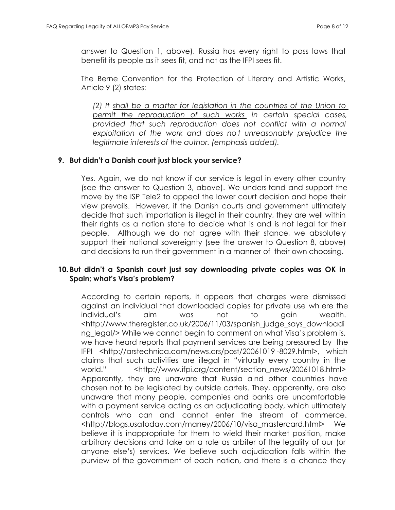answer to Question 1, above). Russia has every right to pass laws that benefit its people as it sees fit, and not as the IFPI sees fit.

The Berne Convention for the Protection of Literary and Artistic Works, Article 9 (2) states:

*(2) It shall be a matter for legislation in the countries of the Union to permit the reproduction of such works in certain special cases, provided that such reproduction does not conflict with a normal exploitation of the work and does no t unreasonably prejudice the legitimate interests of the author. (emphasis added).*

## **9. But didn't a Danish court just block your service?**

Yes. Again, we do not know if our service is legal in every other country (see the answer to Question 3, above). We unders tand and support the move by the ISP Tele2 to appeal the lower court decision and hope their view prevails. However, if the Danish courts and government ultimately decide that such importation is illegal in their country, they are well within their rights as a nation state to decide what is and is not legal for their people. Although we do not agree with their stance, we absolutely support their national sovereignty (see the answer to Question 8, above) and decisions to run their government in a manner of their own choosing.

# **10. But didn't a Spanish court just say downloading private copies was OK in Spain; what's Visa's problem?**

According to certain reports, it appears that charges were dismissed against an individual that downloaded copies for private use wh ere the individual's aim was not to gain wealth. <[http://www.theregister.co.uk/2006/11/03/spanish\\_judge\\_says\\_downloadi](http://www.theregister.co.uk/2006/11/03/spanish_judge_says_downloadi) ng legal/> While we cannot begin to comment on what Visa's problem is, we have heard reports that payment services are being pressured by the IFPI <http://arstechnica.com/news.ars/post/20061019 -8029.[html>, which](http://arstechnica.com/news.ars/) claims that such activities are illegal in "virtually every country in the world." <http://www.ifpi.org/content/section\_news/20061018.html> Apparently, they are unaware that Russia a nd other countries have chosen not to be legislated by outside cartels. They, apparently, are also unaware that many people, companies and banks are uncomfortable with a payment service acting as an adjudicating body, which ultimately controls who can and cannot enter the stream of commerce. <[http://blogs.usatoday.com/maney/2006/10/visa\\_mastercard.html>](http://blogs.usatoday.com/maney/2006/10/visa_mastercard.html) We believe it is inappropriate for them to wield their market position, make arbitrary decisions and take on a role as arbiter of the legality of our (or anyone else's) services. We believe such adjudication falls within the purview of the government of each nation, and there is a chance they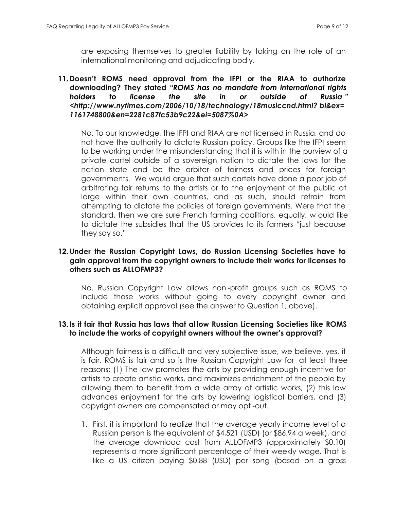are exposing themselves to greater liability by taking on the role of an international monitoring and adjudicating bod y.

## **11. Doesn't ROMS need approval from the IFPI or the RIAA to authorize downloading? They stated** *"ROMS has no mandate from international rights holders to license the site in or outside of Russia " <http://www.nytimes.com/2006/10/18/technology/18musiccnd.html? [bl&ex=](http://www.nytimes.com/2006/10/18/technology/18musiccnd.html) 1161748800&en=2281c87fc53b9c22&ei=5087%0A>*

No. To our knowledge, the IFPI and RIAA are not licensed in Russia, and do not have the authority to dictate Russian policy. Groups like the IFPI seem to be working under the misunderstanding that it is with in the purview of a private cartel outside of a sovereign nation to dictate the laws for the nation state and be the arbiter of fairness and prices for foreign governments. We would argue that such cartels have done a poor job of arbitrating fair returns to the artists or to the enjoyment of the public at large within their own countries, and as such, should refrain from attempting to dictate the policies of foreign governments. Were that the standard, then we are sure French farming coalitions, equally, w ould like to dictate the subsidies that the US provides to its farmers "just because they say so."

## **12. Under the Russian Copyright Laws, do Russian Licensing Societies have to gain approval from the copyright owners to include their works for licenses to others such as ALLOFMP3?**

No. Russian Copyright Law allows non -profit groups such as ROMS to include those works without going to every copyright owner and obtaining explicit approval (see the answer to Question 1, above).

## **13. Is it fair that Russia has laws that al low Russian Licensing Societies like ROMS to include the works of copyright owners without the owner's approval?**

Although fairness is a difficult and very subjective issue, we believe, yes, it is fair. ROMS is fair and so is the Russian Copyright Law for at least three reasons: (1) The law promotes the arts by providing enough incentive for artists to create artistic works, and maximizes enrichment of the people by allowing them to benefit from a wide array of artistic works, (2) this law advances enjoyment for the arts by lowering logistical barriers, and (3) copyright owners are compensated or may opt -out.

1. First, it is important to realize that the average yearly income level of a Russian person is the equivalent of \$4,521 (USD) (or \$86.94 a week), and the average download cost from ALLOFMP3 (approximately \$0.10) represents a more significant percentage of their weekly wage. That is like a US citizen paying \$0.88 (USD) per song (based on a gross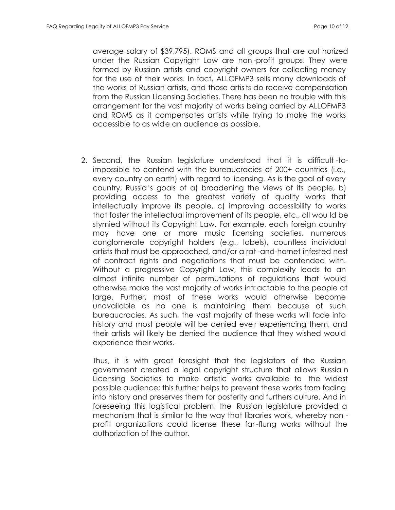average salary of \$39,795). ROMS and all groups that are aut horized under the Russian Copyright Law are non -profit groups. They were formed by Russian artists and copyright owners for collecting money for the use of their works. In fact, ALLOFMP3 sells many downloads of the works of Russian artists, and those artists do receive compensation from the Russian Licensing Societies. There has been no trouble with this arrangement for the vast majority of works being carried by ALLOFMP3 and ROMS as it compensates artists while trying to make the works accessible to as wide an audience as possible.

2. Second, the Russian legislature understood that it is difficult -toimpossible to contend with the bureaucracies of 200+ countries (i.e., every country on earth) with regard to licensing. As is the goal of every country, Russia's goals of a) broadening the views of its people, b) providing access to the greatest variety of quality works that intellectually improve its people, c) improving accessibility to works that foster the intellectual improvement of its people, etc., all wou ld be stymied without its Copyright Law. For example, each foreign country may have one or more music licensing societies, numerous conglomerate copyright holders (e.g., labels), countless individual artists that must be approached, and/or a rat -and-hornet infested nest of contract rights and negotiations that must be contended with. Without a progressive Copyright Law, this complexity leads to an almost infinite number of permutations of regulations that would otherwise make the vast majority of works intr actable to the people at large. Further, most of these works would otherwise become unavailable as no one is maintaining them because of such bureaucracies. As such, the vast majority of these works will fade into history and most people will be denied ever experiencing them, and their artists will likely be denied the audience that they wished would experience their works.

Thus, it is with great foresight that the legislators of the Russian government created a legal copyright structure that allows Russia n Licensing Societies to make artistic works available to the widest possible audience; this further helps to prevent these works from fading into history and preserves them for posterity and furthers culture. And in foreseeing this logistical problem, the Russian legislature provided a mechanism that is similar to the way that libraries work, whereby non profit organizations could license these far -flung works without the authorization of the author.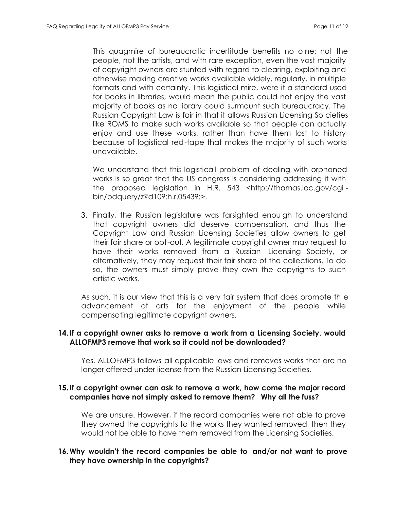This quagmire of bureaucratic incertitude benefits no o ne: not the people, not the artists, and with rare exception, even the vast majority of copyright owners are stunted with regard to clearing, exploiting and otherwise making creative works available widely, regularly, in multiple formats and with certainty. This logistical mire, were it a standard used for books in libraries, would mean the public could not enjoy the vast majority of books as no library could surmount such bureaucracy. The Russian Copyright Law is fair in that it allows Russian Licensing So cieties like ROMS to make such works available so that people can actually enjoy and use these works, rather than have them lost to history because of logistical red-tape that makes the majority of such works unavailable.

We understand that this logistical problem of dealing with orphaned works is so great that the US congress is considering addressing it with the proposed legislation in H.R. 543 <http://thomas.loc.gov/cgi bin/bdquery/z?d109:h.r.05439:>.

3. Finally, the Russian legislature was farsighted enou gh to understand that copyright owners did deserve compensation, and thus the Copyright Law and Russian Licensing Societies allow owners to get their fair share or opt-out. A legitimate copyright owner may request to have their works removed from a Russian Licensing Society, or alternatively, they may request their fair share of the collections. To do so, the owners must simply prove they own the copyrights to such artistic works.

As such, it is our view that this is a very fair system that does promote th e advancement of arts for the enjoyment of the people while compensating legitimate copyright owners.

## **14. If a copyright owner asks to remove a work from a Licensing Society, would ALLOFMP3 remove that work so it could not be downloaded?**

Yes. ALLOFMP3 follows all applicable laws and removes works that are no longer offered under license from the Russian Licensing Societies.

## **15. If a copyright owner can ask to remove a work, how come the major record companies have not simply asked to remove them? Why all the fuss?**

We are unsure. However, if the record companies were not able to prove they owned the copyrights to the works they wanted removed, then they would not be able to have them removed from the Licensing Societies.

## **16. Why wouldn't the record companies be able to and/or not want to prove they have ownership in the copyrights?**